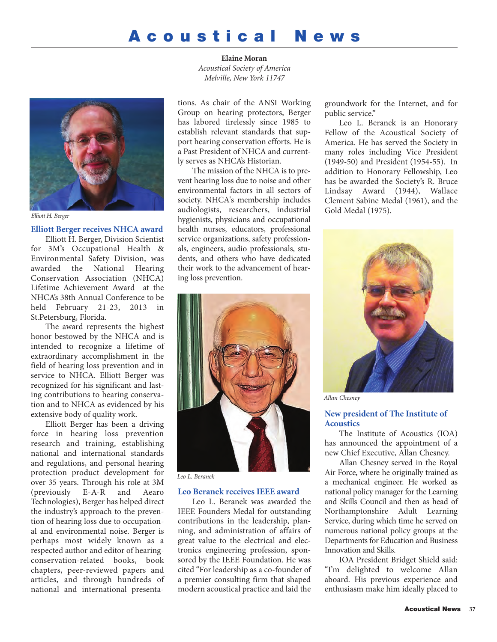# **Acoustical News**

**Elaine Moran** *Acoustical Society of America Melville, New York 11747*



*Elliott H. Berger*

## **Elliott Berger receives NHCA award**

Elliott H. Berger, Division Scientist for 3M's Occupational Health & Environmental Safety Division, was awarded the National Hearing Conservation Association (NHCA) Lifetime Achievement Award at the NHCA's 38th Annual Conference to be held February 21-23, 2013 in St.Petersburg, Florida.

The award represents the highest honor bestowed by the NHCA and is intended to recognize a lifetime of extraordinary accomplishment in the field of hearing loss prevention and in service to NHCA. Elliott Berger was recognized for his significant and lasting contributions to hearing conservation and to NHCA as evidenced by his extensive body of quality work.

Elliott Berger has been a driving force in hearing loss prevention research and training, establishing national and international standards and regulations, and personal hearing protection product development for over 35 years. Through his role at 3M (previously E-A-R and Aearo Technologies), Berger has helped direct the industry's approach to the prevention of hearing loss due to occupational and environmental noise. Berger is perhaps most widely known as a respected author and editor of hearingconservation-related books, book chapters, peer-reviewed papers and articles, and through hundreds of national and international presenta-

tions. As chair of the ANSI Working Group on hearing protectors, Berger has labored tirelessly since 1985 to establish relevant standards that support hearing conservation efforts. He is a Past President of NHCA and currently serves as NHCA's Historian.

The mission of the NHCA is to prevent hearing loss due to noise and other environmental factors in all sectors of society. NHCA's membership includes audiologists, researchers, industrial hygienists, physicians and occupational health nurses, educators, professional service organizations, safety professionals, engineers, audio professionals, students, and others who have dedicated their work to the advancement of hearing loss prevention.



*Leo L. Beranek*

## **Leo Beranek receives IEEE award**

Leo L. Beranek was awarded the IEEE Founders Medal for outstanding contributions in the leadership, planning, and administration of affairs of great value to the electrical and electronics engineering profession, sponsored by the IEEE Foundation. He was cited "For leadership as a co-founder of a premier consulting firm that shaped modern acoustical practice and laid the groundwork for the Internet, and for public service."

Leo L. Beranek is an Honorary Fellow of the Acoustical Society of America. He has served the Society in many roles including Vice President (1949-50) and President (1954-55). In addition to Honorary Fellowship, Leo has be awarded the Society's R. Bruce Lindsay Award (1944), Wallace Clement Sabine Medal (1961), and the Gold Medal (1975).



*Allan Chesney*

## **New president of The Institute of Acoustics**

The Institute of Acoustics (IOA) has announced the appointment of a new Chief Executive, Allan Chesney.

Allan Chesney served in the Royal Air Force, where he originally trained as a mechanical engineer. He worked as national policy manager for the Learning and Skills Council and then as head of Northamptonshire Adult Learning Service, during which time he served on numerous national policy groups at the Departments for Education and Business Innovation and Skills.

IOA President Bridget Shield said: "I'm delighted to welcome Allan aboard. His previous experience and enthusiasm make him ideally placed to